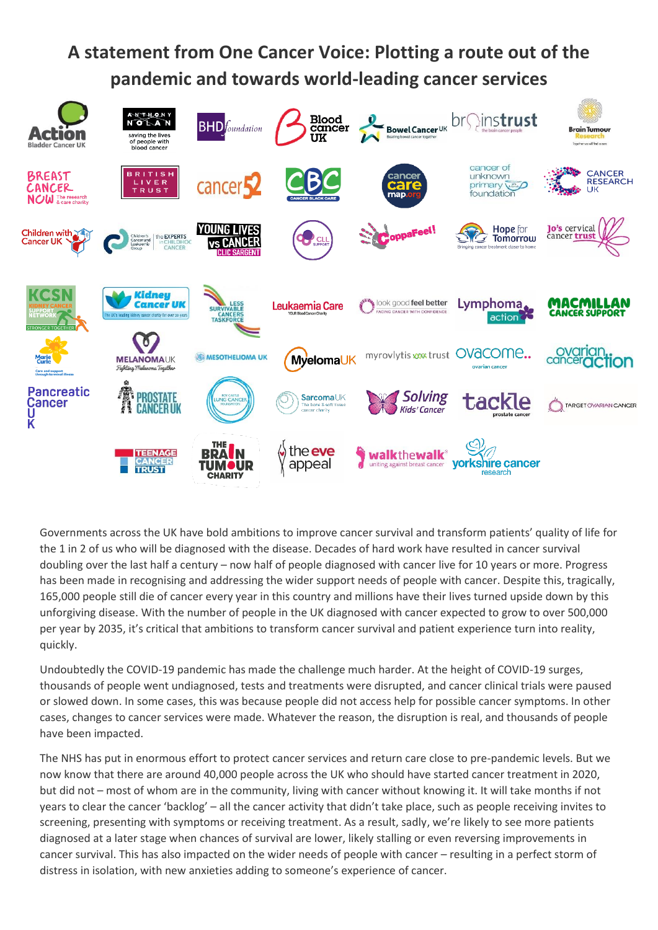## **A statement from One Cancer Voice: Plotting a route out of the pandemic and towards world-leading cancer services**



Governments across the UK have bold ambitions to improve cancer survival and transform patients' quality of life for the 1 in 2 of us who will be diagnosed with the disease. Decades of hard work have resulted in cancer survival doubling over the last half a century – now half of people diagnosed with cancer live for 10 years or more. Progress has been made in recognising and addressing the wider support needs of people with cancer. Despite this, tragically, 165,000 people still die of cancer every year in this country and millions have their lives turned upside down by this unforgiving disease. With the number of people in the UK diagnosed with cancer expected to grow to over 500,000 per year by 2035, it's critical that ambitions to transform cancer survival and patient experience turn into reality, quickly.

Undoubtedly the COVID-19 pandemic has made the challenge much harder. At the height of COVID-19 surges, thousands of people went undiagnosed, tests and treatments were disrupted, and cancer clinical trials were paused or slowed down. In some cases, this was because people did not access help for possible cancer symptoms. In other cases, changes to cancer services were made. Whatever the reason, the disruption is real, and thousands of people have been impacted.

The NHS has put in enormous effort to protect cancer services and return care close to pre-pandemic levels. But we now know that there are around 40,000 people across the UK who should have started cancer treatment in 2020, but did not – most of whom are in the community, living with cancer without knowing it. It will take months if not years to clear the cancer 'backlog' – all the cancer activity that didn't take place, such as people receiving invites to screening, presenting with symptoms or receiving treatment. As a result, sadly, we're likely to see more patients diagnosed at a later stage when chances of survival are lower, likely stalling or even reversing improvements in cancer survival. This has also impacted on the wider needs of people with cancer – resulting in a perfect storm of distress in isolation, with new anxieties adding to someone's experience of cancer.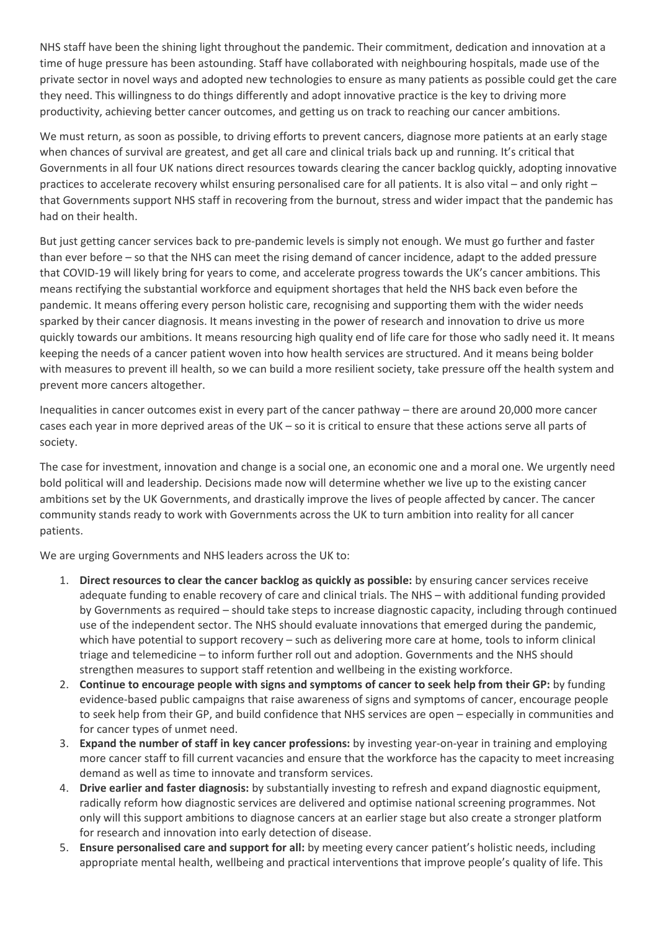NHS staff have been the shining light throughout the pandemic. Their commitment, dedication and innovation at a time of huge pressure has been astounding. Staff have collaborated with neighbouring hospitals, made use of the private sector in novel ways and adopted new technologies to ensure as many patients as possible could get the care they need. This willingness to do things differently and adopt innovative practice is the key to driving more productivity, achieving better cancer outcomes, and getting us on track to reaching our cancer ambitions.

We must return, as soon as possible, to driving efforts to prevent cancers, diagnose more patients at an early stage when chances of survival are greatest, and get all care and clinical trials back up and running. It's critical that Governments in all four UK nations direct resources towards clearing the cancer backlog quickly, adopting innovative practices to accelerate recovery whilst ensuring personalised care for all patients. It is also vital – and only right – that Governments support NHS staff in recovering from the burnout, stress and wider impact that the pandemic has had on their health.

But just getting cancer services back to pre-pandemic levels is simply not enough. We must go further and faster than ever before – so that the NHS can meet the rising demand of cancer incidence, adapt to the added pressure that COVID-19 will likely bring for years to come, and accelerate progress towards the UK's cancer ambitions. This means rectifying the substantial workforce and equipment shortages that held the NHS back even before the pandemic. It means offering every person holistic care, recognising and supporting them with the wider needs sparked by their cancer diagnosis. It means investing in the power of research and innovation to drive us more quickly towards our ambitions. It means resourcing high quality end of life care for those who sadly need it. It means keeping the needs of a cancer patient woven into how health services are structured. And it means being bolder with measures to prevent ill health, so we can build a more resilient society, take pressure off the health system and prevent more cancers altogether.

Inequalities in cancer outcomes exist in every part of the cancer pathway – there are around 20,000 more cancer cases each year in more deprived areas of the UK – so it is critical to ensure that these actions serve all parts of society.

The case for investment, innovation and change is a social one, an economic one and a moral one. We urgently need bold political will and leadership. Decisions made now will determine whether we live up to the existing cancer ambitions set by the UK Governments, and drastically improve the lives of people affected by cancer. The cancer community stands ready to work with Governments across the UK to turn ambition into reality for all cancer patients.

We are urging Governments and NHS leaders across the UK to:

- 1. **Direct resources to clear the cancer backlog as quickly as possible:** by ensuring cancer services receive adequate funding to enable recovery of care and clinical trials. The NHS – with additional funding provided by Governments as required – should take steps to increase diagnostic capacity, including through continued use of the independent sector. The NHS should evaluate innovations that emerged during the pandemic, which have potential to support recovery – such as delivering more care at home, tools to inform clinical triage and telemedicine – to inform further roll out and adoption. Governments and the NHS should strengthen measures to support staff retention and wellbeing in the existing workforce.
- 2. **Continue to encourage people with signs and symptoms of cancer to seek help from their GP:** by funding evidence-based public campaigns that raise awareness of signs and symptoms of cancer, encourage people to seek help from their GP, and build confidence that NHS services are open – especially in communities and for cancer types of unmet need.
- 3. **Expand the number of staff in key cancer professions:** by investing year-on-year in training and employing more cancer staff to fill current vacancies and ensure that the workforce has the capacity to meet increasing demand as well as time to innovate and transform services.
- 4. **Drive earlier and faster diagnosis:** by substantially investing to refresh and expand diagnostic equipment, radically reform how diagnostic services are delivered and optimise national screening programmes. Not only will this support ambitions to diagnose cancers at an earlier stage but also create a stronger platform for research and innovation into early detection of disease.
- 5. **Ensure personalised care and support for all:** by meeting every cancer patient's holistic needs, including appropriate mental health, wellbeing and practical interventions that improve people's quality of life. This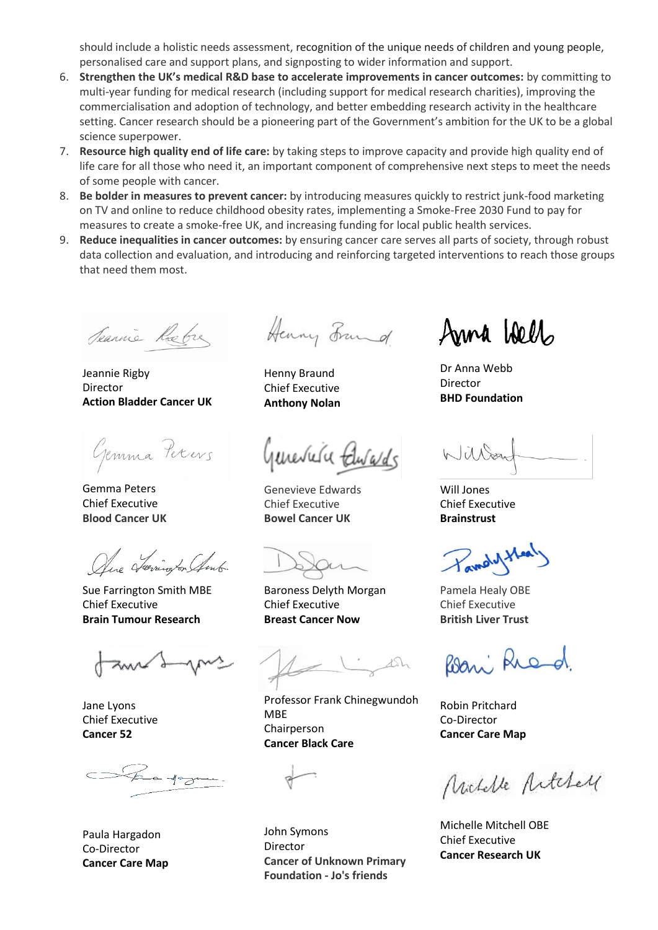should include a holistic needs assessment, recognition of the unique needs of children and young people, personalised care and support plans, and signposting to wider information and support.

- 6. **Strengthen the UK's medical R&D base to accelerate improvements in cancer outcomes:** by committing to multi-year funding for medical research (including support for medical research charities), improving the commercialisation and adoption of technology, and better embedding research activity in the healthcare setting. Cancer research should be a pioneering part of the Government's ambition for the UK to be a global science superpower.
- 7. **Resource high quality end of life care:** by taking steps to improve capacity and provide high quality end of life care for all those who need it, an important component of comprehensive next steps to meet the needs of some people with cancer.
- 8. **Be bolder in measures to prevent cancer:** by introducing measures quickly to restrict junk-food marketing on TV and online to reduce childhood obesity rates, implementing a Smoke-Free 2030 Fund to pay for measures to create a smoke-free UK, and increasing funding for local public health services.
- 9. **Reduce inequalities in cancer outcomes:** by ensuring cancer care serves all parts of society, through robust data collection and evaluation, and introducing and reinforcing targeted interventions to reach those groups that need them most.

Jeannie Rebre

Jeannie Rigby Director **Action Bladder Cancer UK**

Gemma Pexers

Gemma Peters Chief Executive **Blood Cancer UK**

Olive Journoy on Amb

Sue Farrington Smith MBE Chief Executive **Brain Tumour Research**

Jane Lyons Chief Executive **Cancer 52**

 $\epsilon$  - Speedy

Paula Hargadon Co-Director **Cancer Care Map**

Henry Frand

Henny Braund Chief Executive **Anthony Nolan**

Geneviera televards

Genevieve Edwards Chief Executive **Bowel Cancer UK**

Baroness Delyth Morgan Chief Executive **Breast Cancer Now**

Professor Frank Chinegwundoh MBE Chairperson **Cancer Black Care**



John Symons **Director Cancer of Unknown Primary Foundation - Jo's friends**

Anna Wells

Dr Anna Webb Director **BHD Foundation**

Willow

Will Jones Chief Executive **Brainstrust**

avady theat

Pamela Healy OBE Chief Executive **British Liver Trust**

Bani Ried.

Robin Pritchard Co-Director **Cancer Care Map**

Nuclelle Artchell

Michelle Mitchell OBE Chief Executive **Cancer Research UK**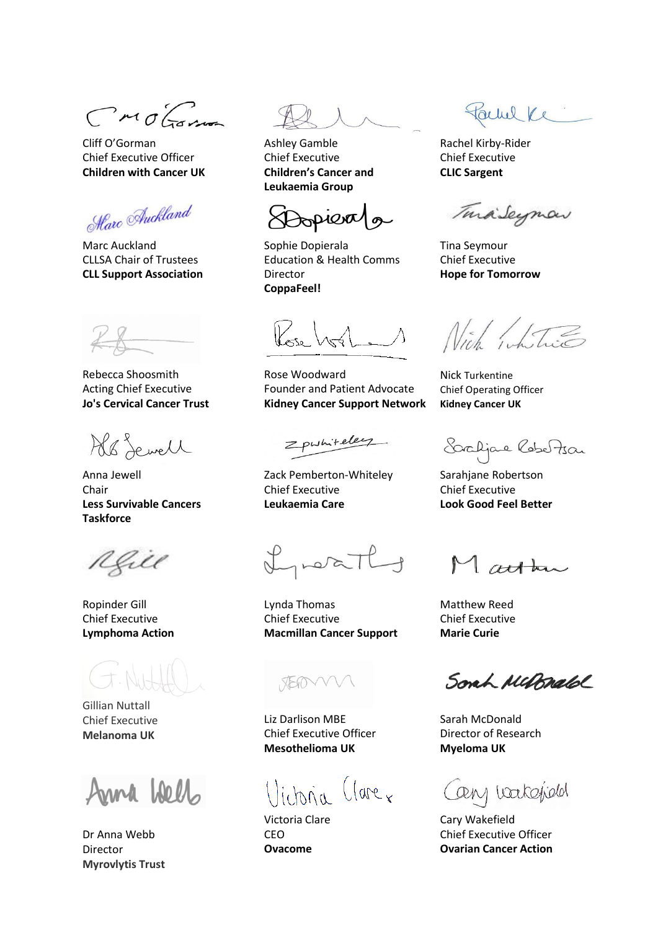CMOGome

Cliff O'Gorman Chief Executive Officer **Children with Cancer UK**

Harc Auckland

Marc Auckland CLLSA Chair of Trustees **CLL Support Association**

Rebecca Shoosmith Acting Chief Executive **Jo's Cervical Cancer Trust**

Ab Sewell

Anna Jewell Chair **Less Survivable Cancers Taskforce** 

Kell

Ropinder Gill Chief Executive **Lymphoma Action**

Gillian Nuttall Chief Executive **Melanoma UK**

Anna Well

Dr Anna Webb Director **Myrovlytis Trust**

Ashley Gamble Chief Executive **Children's Cancer and Leukaemia Group**

Dopiera/

Sophie Dopierala Education & Health Comms Director **CoppaFeel!**

Rose Woodward Founder and Patient Advocate **Kidney Cancer Support Network**

Zpwhiteley

Zack Pemberton-Whiteley Chief Executive **Leukaemia Care**

Investly

Lynda Thomas Chief Executive **Macmillan Cancer Support**

XEM

Liz Darlison MBE Chief Executive Officer **Mesothelioma UK**

llictoria Clarex

Victoria Clare CEO **Ovacome**

Parme Ke

Rachel Kirby-Rider Chief Executive **CLIC Sargent**

TuraiSeymon

Tina Seymour Chief Executive **Hope for Tomorrow**

Nich white

Nick Turkentine Chief Operating Officer **Kidney Cancer UK**

Saaljae Rebertsan

Sarahjane Robertson Chief Executive **Look Good Feel Better**

Matthew

Matthew Reed Chief Executive **Marie Curie**

Sonh Mubrald

Sarah McDonald Director of Research **Myeloma UK**

Cany wakefield

Cary Wakefield Chief Executive Officer **Ovarian Cancer Action**